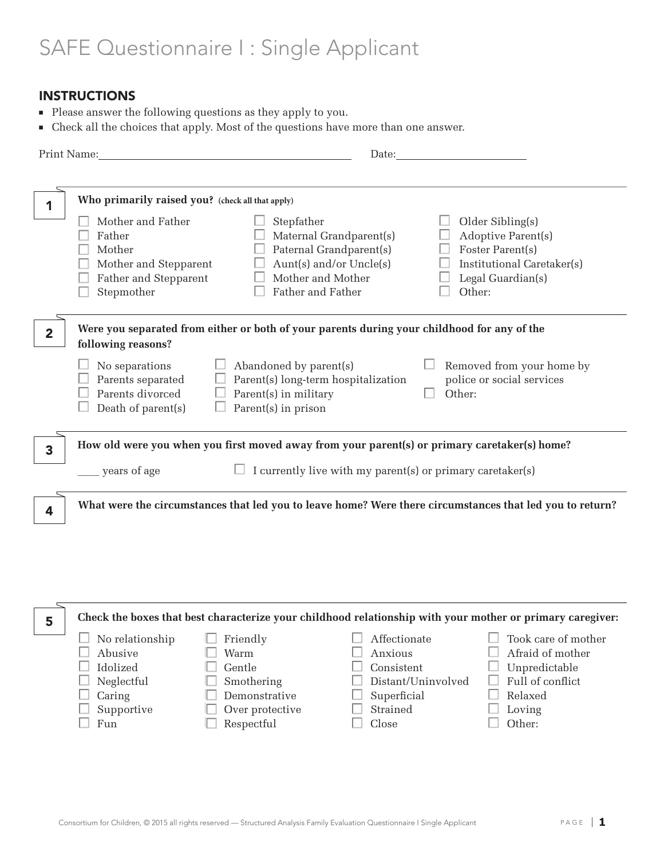# SAFE Questionnaire I : Single Applicant

# INSTRUCTIONS

- <sup>n</sup> Please answer the following questions as they apply to you.
- <sup>n</sup> Check all the choices that apply. Most of the questions have more than one answer.

|                | Print Name: The Commission of the Commission of the Commission of the Commission of the Commission of the Commission of the Commission of the Commission of the Commission of the Commission of the Commission of the Commissi |                                                                                                                                                                                                                     | Date: the contract of the contract of the contract of the contract of the contract of the contract of the contract of the contract of the contract of the contract of the contract of the contract of the contract of the cont |  |  |
|----------------|--------------------------------------------------------------------------------------------------------------------------------------------------------------------------------------------------------------------------------|---------------------------------------------------------------------------------------------------------------------------------------------------------------------------------------------------------------------|--------------------------------------------------------------------------------------------------------------------------------------------------------------------------------------------------------------------------------|--|--|
|                | Who primarily raised you? (check all that apply)<br>Mother and Father<br>Father<br>Mother<br>Mother and Stepparent<br>Father and Stepparent<br>Stepmother                                                                      | Stepfather<br>Maternal Grandparent(s)<br>Paternal Grandparent(s)<br>Aunt(s) and/or Uncle(s)<br>Mother and Mother<br>Father and Father                                                                               | Older Sibling(s)<br>Adoptive Parent(s)<br>Foster Parent(s)<br>Institutional Caretaker(s)<br>Legal Guardian(s)<br>Other:                                                                                                        |  |  |
| $\overline{2}$ | following reasons?<br>No separations<br>Parents separated<br>Parents divorced<br>Death of parent(s)                                                                                                                            | Were you separated from either or both of your parents during your childhood for any of the<br>$\Box$ Abandoned by parent(s)<br>Parent(s) long-term hospitalization<br>Parent(s) in military<br>Parent(s) in prison | Removed from your home by<br>police or social services<br>Other:                                                                                                                                                               |  |  |
| 3              | How old were you when you first moved away from your parent(s) or primary caretaker(s) home?<br>I currently live with my parent(s) or primary caretaker(s)<br>years of age                                                     |                                                                                                                                                                                                                     |                                                                                                                                                                                                                                |  |  |
| 4              |                                                                                                                                                                                                                                |                                                                                                                                                                                                                     | What were the circumstances that led you to leave home? Were there circumstances that led you to return?                                                                                                                       |  |  |

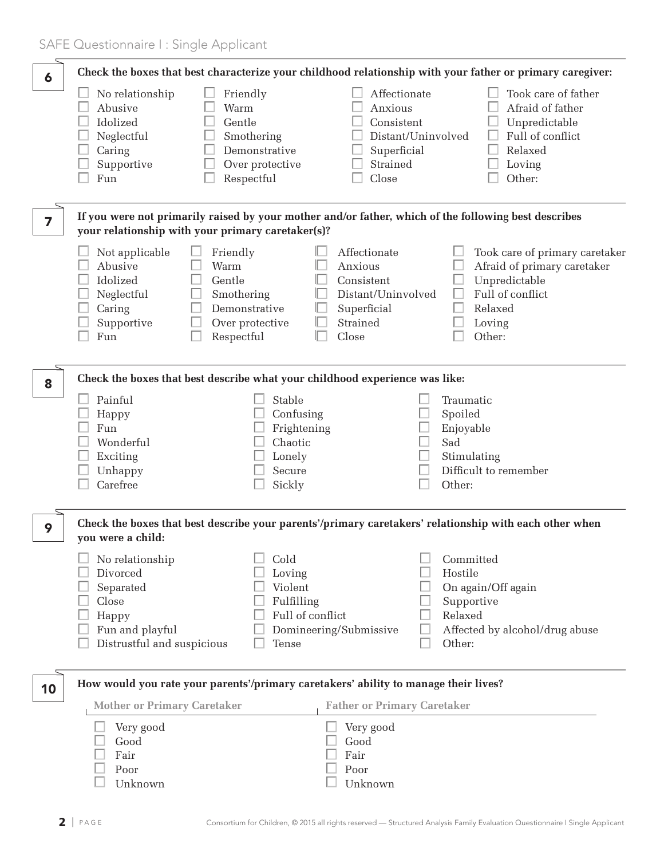| 6  |                                                                                                             |                                                                                            |                                                                                                 | Check the boxes that best characterize your childhood relationship with your father or primary caregiver:                         |
|----|-------------------------------------------------------------------------------------------------------------|--------------------------------------------------------------------------------------------|-------------------------------------------------------------------------------------------------|-----------------------------------------------------------------------------------------------------------------------------------|
|    | No relationship<br>Abusive<br>Idolized<br>Neglectful<br>Caring<br>Supportive<br>Fun                         | Friendly<br>Warm<br>Gentle<br>Smothering<br>Demonstrative<br>Over protective<br>Respectful | Affectionate<br>Anxious<br>Consistent<br>Superficial<br>Strained<br>Close                       | Took care of father<br>Afraid of father<br>Unpredictable<br>Full of conflict<br>Distant/Uninvolved<br>Relaxed<br>Loving<br>Other: |
| 7  |                                                                                                             | your relationship with your primary caretaker(s)?                                          |                                                                                                 | If you were not primarily raised by your mother and/or father, which of the following best describes                              |
|    | Not applicable<br>Abusive<br>Idolized<br>Neglectful<br>Caring<br>Supportive<br>Fun                          | Friendly<br>Warm<br>Gentle<br>Smothering<br>Demonstrative<br>Over protective<br>Respectful | Affectionate<br>Anxious<br>Consistent<br>Distant/Uninvolved<br>Superficial<br>Strained<br>Close | Took care of primary caretaker<br>Afraid of primary caretaker<br>Unpredictable<br>Full of conflict<br>Relaxed<br>Loving<br>Other: |
| 8  |                                                                                                             | Check the boxes that best describe what your childhood experience was like:                |                                                                                                 |                                                                                                                                   |
|    | Painful<br>Happy<br>Fun<br>Wonderful<br>Exciting<br>Unhappy<br>Carefree                                     | Stable<br>Confusing<br>Frightening<br>Chaotic<br>Lonely<br>Secure<br>Sickly                |                                                                                                 | Traumatic<br>Spoiled<br>Enjoyable<br>Sad<br>Stimulating<br>Difficult to remember<br>Other:                                        |
| 9  | you were a child:                                                                                           |                                                                                            |                                                                                                 | Check the boxes that best describe your parents'/primary caretakers' relationship with each other when                            |
|    | No relationship<br>Divorced<br>Separated<br>Close<br>Happy<br>Fun and playful<br>Distrustful and suspicious | Cold<br>Loving<br>Violent<br>Fulfilling<br>Tense                                           | Full of conflict<br>Domineering/Submissive                                                      | Committed<br>Hostile<br>On again/Off again<br>Supportive<br>Relaxed<br>Affected by alcohol/drug abuse<br>Other:                   |
| 10 |                                                                                                             | How would you rate your parents'/primary caretakers' ability to manage their lives?        |                                                                                                 |                                                                                                                                   |
|    | <b>Mother or Primary Caretaker</b><br>Very good<br>Good<br>Fair<br>Poor<br>Unknown                          |                                                                                            | <b>Father or Primary Caretaker</b><br>Very good<br>Good<br>Fair<br>Poor<br>Unknown              |                                                                                                                                   |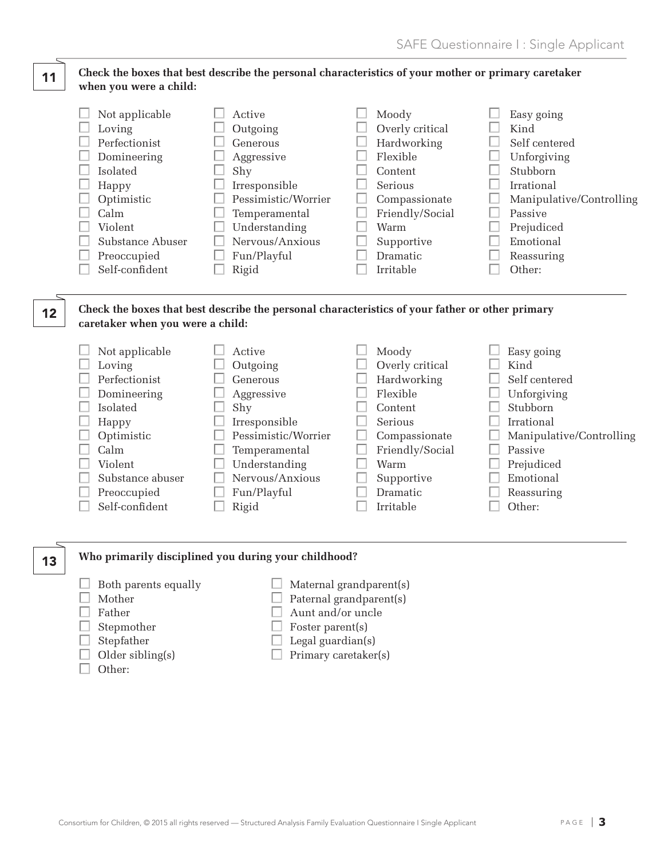#### **Check the boxes that best describe the personal characteristics of your mother or primary caretaker when you were a child:** 11

| Not applicable   | Active              | Moody           | Easy going               |
|------------------|---------------------|-----------------|--------------------------|
| Loving           | Outgoing            | Overly critical | Kind                     |
| Perfectionist    | Generous            | Hardworking     | Self centered            |
| Domineering      | Aggressive          | Flexible        | Unforgiving              |
| Isolated         | Shy                 | Content         | Stubborn                 |
| Happy            | Irresponsible       | Serious         | Irrational               |
| Optimistic       | Pessimistic/Worrier | Compassionate   | Manipulative/Controlling |
| Calm             | Temperamental       | Friendly/Social | Passive                  |
| Violent          | Understanding       | Warm            | Prejudiced               |
| Substance Abuser | Nervous/Anxious     | Supportive      | Emotional                |
| Preoccupied      | Fun/Playful         | <b>Dramatic</b> | Reassuring               |
| Self-confident   | Rigid               | Irritable       | Other:                   |

## **Check the boxes that best describe the personal characteristics of your father or other primary caretaker when you were a child:**

| Not applicable<br>Loving<br>Perfectionist<br>Domineering<br><b>Isolated</b><br>Happy<br>Optimistic<br>Calm<br>Violent<br>Substance abuser<br>Preoccupied | Active<br>Outgoing<br>Generous<br>Aggressive<br>Shy<br>Irresponsible<br>Pessimistic/Worrier<br>Temperamental<br>Understanding<br>Nervous/Anxious<br>Fun/Playful | Moody<br>Overly critical<br>Hardworking<br>Flexible<br>Content<br>Serious<br>Compassionate<br>Friendly/Social<br>Warm<br>Supportive<br><b>Dramatic</b> | Easy going<br>Kind<br>Self centered<br>Unforgiving<br>Stubborn<br>Irrational<br>Manipulative/Controlling<br>Passive<br>Prejudiced<br>Emotional<br>Reassuring |
|----------------------------------------------------------------------------------------------------------------------------------------------------------|-----------------------------------------------------------------------------------------------------------------------------------------------------------------|--------------------------------------------------------------------------------------------------------------------------------------------------------|--------------------------------------------------------------------------------------------------------------------------------------------------------------|
| Self-confident                                                                                                                                           | Rigid                                                                                                                                                           | Irritable                                                                                                                                              | Other:                                                                                                                                                       |
|                                                                                                                                                          |                                                                                                                                                                 |                                                                                                                                                        |                                                                                                                                                              |

## **Who primarily disciplined you during your childhood?**

- $\Box$  Both parents equally  $\Box$  Maternal grandparent(s)
	-
- 

12

13

- 
- 
- 
- $\Box$  Other:
- 
- 
- $\Box$  Mother  $\Box$  Paternal grandparent(s)
- $\Box$  Father  $\Box$  Aunt and/or uncle
- $\Box$  Stepmother  $\Box$  Foster parent(s)
- $\Box$  Stepfather  $\Box$  Legal guardian(s)
- $\Box$  Older sibling(s)  $\Box$  Primary caretaker(s)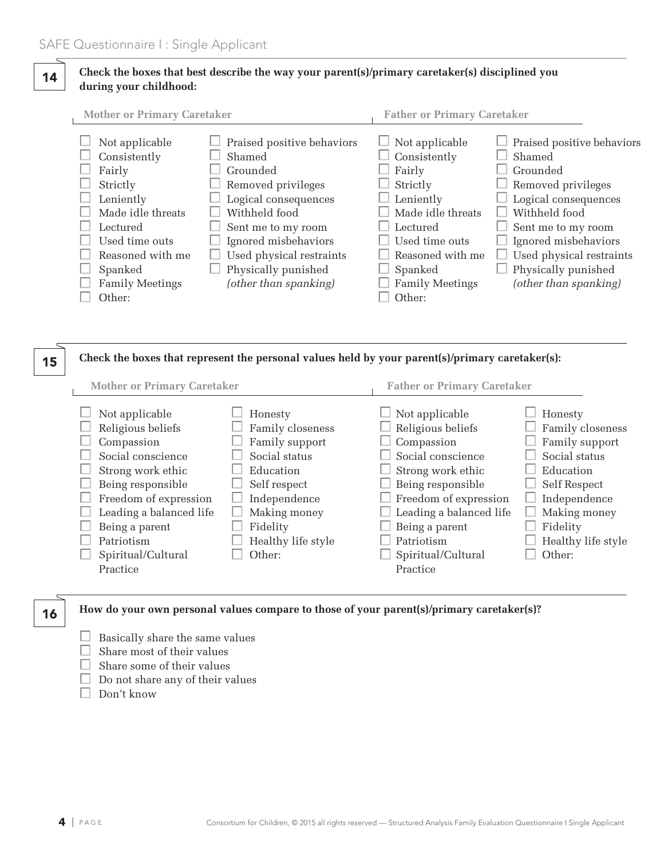## **Check the boxes that best describe the way your parent(s)/primary caretaker(s) disciplined you during your childhood:** 14

| <b>Mother or Primary Caretaker</b>                                                                                                                                            |                                                                                                                                                                                                                                           | <b>Father or Primary Caretaker</b>                                                                                                                                            |                                                                                                                                                                                                                                           |
|-------------------------------------------------------------------------------------------------------------------------------------------------------------------------------|-------------------------------------------------------------------------------------------------------------------------------------------------------------------------------------------------------------------------------------------|-------------------------------------------------------------------------------------------------------------------------------------------------------------------------------|-------------------------------------------------------------------------------------------------------------------------------------------------------------------------------------------------------------------------------------------|
| Not applicable<br>Consistently<br>Fairly<br>Strictly<br>Leniently<br>Made idle threats<br>Lectured<br>Used time outs<br>Reasoned with me<br>Spanked<br><b>Family Meetings</b> | Praised positive behaviors<br>Shamed<br>Grounded<br>Removed privileges<br>Logical consequences<br>Withheld food<br>Sent me to my room<br>Ignored misbehaviors<br>Used physical restraints<br>Physically punished<br>(other than spanking) | Not applicable<br>Consistently<br>Fairly<br>Strictly<br>Leniently<br>Made idle threats<br>Lectured<br>Used time outs<br>Reasoned with me<br>Spanked<br><b>Family Meetings</b> | Praised positive behaviors<br>Shamed<br>Grounded<br>Removed privileges<br>Logical consequences<br>Withheld food<br>Sent me to my room<br>Ignored misbehaviors<br>Used physical restraints<br>Physically punished<br>(other than spanking) |
| Other:                                                                                                                                                                        |                                                                                                                                                                                                                                           | Other:                                                                                                                                                                        |                                                                                                                                                                                                                                           |

#### **Check the boxes that represent the personal values held by your parent(s)/primary caretaker(s):** 15

| <b>Mother or Primary Caretaker</b> |                                                                                                                                                                      |                                                                                                                             |                                                                                                                                                                                                                                                                                                                                           |  |
|------------------------------------|----------------------------------------------------------------------------------------------------------------------------------------------------------------------|-----------------------------------------------------------------------------------------------------------------------------|-------------------------------------------------------------------------------------------------------------------------------------------------------------------------------------------------------------------------------------------------------------------------------------------------------------------------------------------|--|
|                                    | Not applicable<br>Religious beliefs<br>Compassion<br>Social conscience<br>Strong work ethic<br>Being responsible<br>Freedom of expression<br>Leading a balanced life | Honesty<br>Family closeness<br>Family support<br>Social status<br>Education<br>Self respect<br>Independence<br>Making money | <b>Father or Primary Caretaker</b><br>Not applicable<br>Honesty<br>Religious beliefs<br>Family closeness<br>Family support<br>Compassion<br>Social status<br>Social conscience<br>Education<br>Strong work ethic<br>Being responsible<br>Self Respect<br>Freedom of expression<br>Independence<br>Leading a balanced life<br>Making money |  |
|                                    | Being a parent                                                                                                                                                       | Fidelity                                                                                                                    | Fidelity<br>Being a parent                                                                                                                                                                                                                                                                                                                |  |
|                                    | Patriotism                                                                                                                                                           | Healthy life style                                                                                                          | Patriotism<br>Healthy life style                                                                                                                                                                                                                                                                                                          |  |
|                                    | Spiritual/Cultural                                                                                                                                                   | Other:                                                                                                                      | Other:<br>Spiritual/Cultural                                                                                                                                                                                                                                                                                                              |  |
|                                    | Practice                                                                                                                                                             |                                                                                                                             | Practice                                                                                                                                                                                                                                                                                                                                  |  |

16

## **How do your own personal values compare to those of your parent(s)/primary caretaker(s)?**

- $\Box$  Basically share the same values
- $\Box$  Share most of their values
- $\Box$  Share some of their values
- $\Box$  Do not share any of their values
- $\Box$  Don't know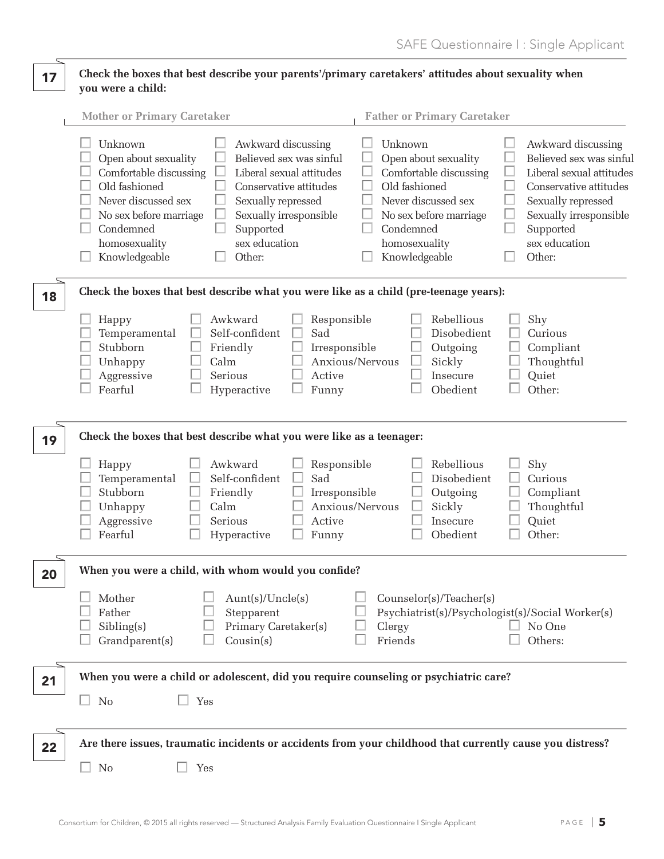## **Check the boxes that best describe your parents'/primary caretakers' attitudes about sexuality when you were a child:** 17

|    | <b>Mother or Primary Caretaker</b><br><b>Father or Primary Caretaker</b>                                                                                                                                                                                                                                                                                                                                                                                                                                                                                                                                                                                                                                                                               |
|----|--------------------------------------------------------------------------------------------------------------------------------------------------------------------------------------------------------------------------------------------------------------------------------------------------------------------------------------------------------------------------------------------------------------------------------------------------------------------------------------------------------------------------------------------------------------------------------------------------------------------------------------------------------------------------------------------------------------------------------------------------------|
|    | Unknown<br>Awkward discussing<br>Unknown<br>Awkward discussing<br>Open about sexuality<br>Believed sex was sinful<br>Believed sex was sinful<br>Open about sexuality<br>Comfortable discussing<br>Liberal sexual attitudes<br>Comfortable discussing<br>Liberal sexual attitudes<br>Old fashioned<br>Old fashioned<br>Conservative attitudes<br>Conservative attitudes<br>Never discussed sex<br>Never discussed sex<br>Sexually repressed<br>Sexually repressed<br>No sex before marriage<br>Sexually irresponsible<br>Sexually irresponsible<br>No sex before marriage<br>Supported<br>Supported<br>Condemned<br>Condemned<br>sex education<br>sex education<br>homosexuality<br>homosexuality<br>Knowledgeable<br>Other:<br>Knowledgeable<br>Other: |
| 18 | Check the boxes that best describe what you were like as a child (pre-teenage years):                                                                                                                                                                                                                                                                                                                                                                                                                                                                                                                                                                                                                                                                  |
|    | Awkward<br>Rebellious<br>Responsible<br>Shy<br>Happy<br>Self-confident<br>Sad<br>Disobedient<br>Curious<br>Temperamental<br>Stubborn<br>Friendly<br>Irresponsible<br>Outgoing<br>Compliant<br>Anxious/Nervous<br>Calm<br>Sickly<br>Thoughtful<br>Unhappy<br>Aggressive<br>Serious<br>Active<br>Insecure<br>Quiet<br>Other:<br>Fearful<br>Funny<br>Obedient<br>Hyperactive                                                                                                                                                                                                                                                                                                                                                                              |
| 19 | Check the boxes that best describe what you were like as a teenager:                                                                                                                                                                                                                                                                                                                                                                                                                                                                                                                                                                                                                                                                                   |
|    | Rebellious<br>Awkward<br>Shy<br>Responsible<br>Happy<br>Sad<br>Self-confident<br>Disobedient<br>Curious<br>Temperamental<br>Stubborn<br>Friendly<br>Outgoing<br>Irresponsible<br>Compliant<br>Anxious/Nervous<br>Sickly<br>Thoughtful<br>Unhappy<br>Calm<br>Serious<br>Active<br>Quiet<br>Aggressive<br>Insecure<br>Other:<br>Fearful<br>Obedient<br>Hyperactive<br>Funny                                                                                                                                                                                                                                                                                                                                                                              |
| 20 | When you were a child, with whom would you confide?                                                                                                                                                                                                                                                                                                                                                                                                                                                                                                                                                                                                                                                                                                    |
|    | $\Box$<br>Mother<br>Aunt(s)/Uncle(s)<br>Counselor(s)/Teacher(s)<br>Father<br>Stepparent<br>Psychiatrist(s)/Psychologist(s)/Social Worker(s)<br>Sibling(s)<br>Primary Caretaker(s)<br>Clergy<br>No One<br>Others:<br>Grandparent(s)<br>Cousin(s)<br>Friends                                                                                                                                                                                                                                                                                                                                                                                                                                                                                             |
| 21 | When you were a child or adolescent, did you require counseling or psychiatric care?                                                                                                                                                                                                                                                                                                                                                                                                                                                                                                                                                                                                                                                                   |
|    | N <sub>0</sub><br>$\Box$ Yes<br>$\Box$                                                                                                                                                                                                                                                                                                                                                                                                                                                                                                                                                                                                                                                                                                                 |
| 22 | Are there issues, traumatic incidents or accidents from your childhood that currently cause you distress?                                                                                                                                                                                                                                                                                                                                                                                                                                                                                                                                                                                                                                              |
|    | <b>No</b><br>Yes                                                                                                                                                                                                                                                                                                                                                                                                                                                                                                                                                                                                                                                                                                                                       |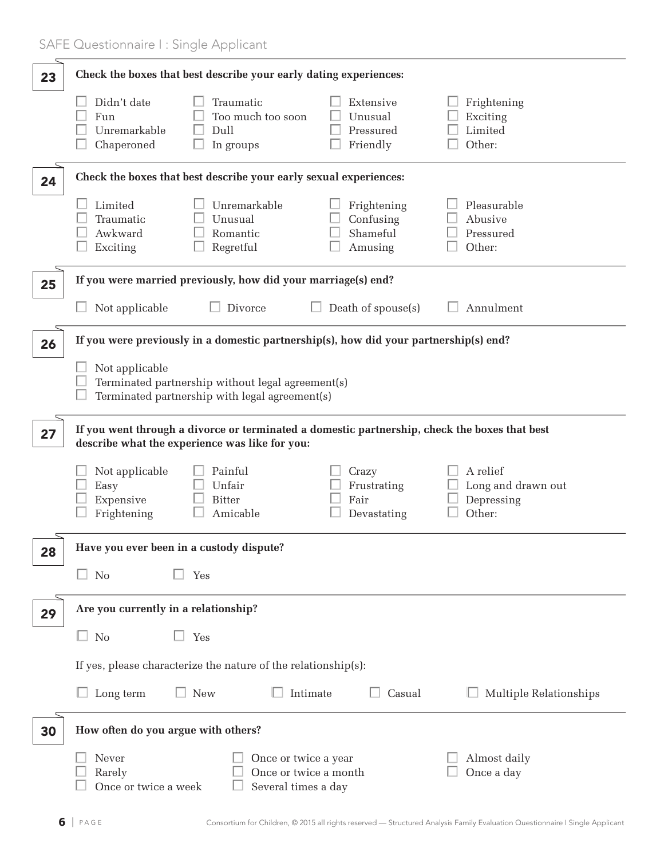| 23 | Check the boxes that best describe your early dating experiences:                                                                               |                                                                      |                                                        |  |  |  |
|----|-------------------------------------------------------------------------------------------------------------------------------------------------|----------------------------------------------------------------------|--------------------------------------------------------|--|--|--|
|    | Didn't date<br>Traumatic<br>Too much too soon<br>Fun<br>Dull<br>Unremarkable<br>Chaperoned<br>In groups                                         | Extensive<br>Unusual<br>Pressured<br>Friendly                        | Frightening<br>Exciting<br>Limited<br>Other:           |  |  |  |
| 24 | Check the boxes that best describe your early sexual experiences:                                                                               |                                                                      |                                                        |  |  |  |
|    | Limited<br>Unremarkable<br>Traumatic<br>Unusual<br>Awkward<br>Romantic<br>Regretful<br>Exciting                                                 | Frightening<br>Confusing<br>Shameful<br>Amusing                      | Pleasurable<br>Abusive<br>Pressured<br>Other:          |  |  |  |
| 25 | If you were married previously, how did your marriage(s) end?                                                                                   |                                                                      |                                                        |  |  |  |
|    | Not applicable<br>Divorce                                                                                                                       | Death of spouse(s)                                                   | Annulment                                              |  |  |  |
| 26 | If you were previously in a domestic partnership(s), how did your partnership(s) end?                                                           |                                                                      |                                                        |  |  |  |
|    | Not applicable<br>Terminated partnership without legal agreement(s)<br>Terminated partnership with legal agreement(s)                           |                                                                      |                                                        |  |  |  |
| 27 | If you went through a divorce or terminated a domestic partnership, check the boxes that best<br>describe what the experience was like for you: |                                                                      |                                                        |  |  |  |
|    | Painful<br>Not applicable<br>Unfair<br>Easy<br>Expensive<br><b>Bitter</b><br>Frightening<br>Amicable                                            | Crazy<br>Frustrating<br>Fair<br>Devastating                          | A relief<br>Long and drawn out<br>Depressing<br>Other: |  |  |  |
| 28 | Have you ever been in a custody dispute?                                                                                                        |                                                                      |                                                        |  |  |  |
|    | <b>No</b><br>Yes                                                                                                                                |                                                                      |                                                        |  |  |  |
| 29 | Are you currently in a relationship?                                                                                                            |                                                                      |                                                        |  |  |  |
|    | $\Box$ No<br>Yes                                                                                                                                |                                                                      |                                                        |  |  |  |
|    | If yes, please characterize the nature of the relationship(s):                                                                                  |                                                                      |                                                        |  |  |  |
|    | New<br>$\Box$ Long term                                                                                                                         | Intimate<br>Casual                                                   | Multiple Relationships                                 |  |  |  |
| 30 | How often do you argue with others?                                                                                                             |                                                                      |                                                        |  |  |  |
|    | Never<br>Rarely<br>Once or twice a week                                                                                                         | Once or twice a year<br>Once or twice a month<br>Several times a day | Almost daily<br>Once a day                             |  |  |  |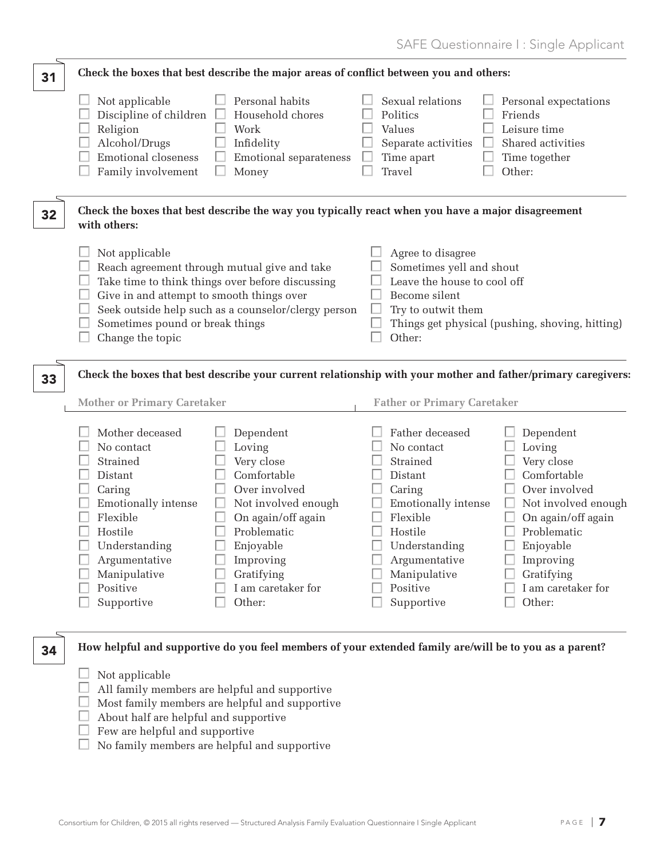SAFE Questionnaire I : Single Applicant

| 31 | Check the boxes that best describe the major areas of conflict between you and others:                                                                                                                                                                                                                                                                                                                                                                            |                                                                                                                                                                                                       |                                                                                                                                                                                                                                |                                                                                                                                                                                                       |  |
|----|-------------------------------------------------------------------------------------------------------------------------------------------------------------------------------------------------------------------------------------------------------------------------------------------------------------------------------------------------------------------------------------------------------------------------------------------------------------------|-------------------------------------------------------------------------------------------------------------------------------------------------------------------------------------------------------|--------------------------------------------------------------------------------------------------------------------------------------------------------------------------------------------------------------------------------|-------------------------------------------------------------------------------------------------------------------------------------------------------------------------------------------------------|--|
|    | Not applicable<br>Discipline of children $\Box$<br>Religion<br>Alcohol/Drugs<br><b>Emotional closeness</b><br>Family involvement                                                                                                                                                                                                                                                                                                                                  | Personal habits<br>Household chores<br>Work<br>Infidelity<br>Emotional separateness<br>Money                                                                                                          | Sexual relations<br>Politics<br>Values<br>Separate activities<br>Time apart<br>Travel                                                                                                                                          | Personal expectations<br>Friends<br>Leisure time<br>Shared activities<br>Time together<br>Other:                                                                                                      |  |
| 32 | Check the boxes that best describe the way you typically react when you have a major disagreement<br>with others:                                                                                                                                                                                                                                                                                                                                                 |                                                                                                                                                                                                       |                                                                                                                                                                                                                                |                                                                                                                                                                                                       |  |
|    | Not applicable<br>Agree to disagree<br>Sometimes yell and shout<br>Reach agreement through mutual give and take<br>Take time to think things over before discussing<br>Leave the house to cool off<br>Give in and attempt to smooth things over<br>Become silent<br>Seek outside help such as a counselor/clergy person<br>Try to outwit them<br>Sometimes pound or break things<br>Things get physical (pushing, shoving, hitting)<br>Other:<br>Change the topic |                                                                                                                                                                                                       |                                                                                                                                                                                                                                |                                                                                                                                                                                                       |  |
| 33 | Check the boxes that best describe your current relationship with your mother and father/primary caregivers:                                                                                                                                                                                                                                                                                                                                                      |                                                                                                                                                                                                       |                                                                                                                                                                                                                                |                                                                                                                                                                                                       |  |
|    | <b>Mother or Primary Caretaker</b><br>Mother deceased<br>No contact<br>Strained<br>Distant<br>Caring<br>Emotionally intense<br>Flexible<br>Hostile<br>Understanding<br>Argumentative<br>Manipulative<br>Positive<br>Supportive                                                                                                                                                                                                                                    | Dependent<br>Loving<br>Very close<br>Comfortable<br>Over involved<br>Not involved enough<br>On again/off again<br>Problematic<br>Enjoyable<br>Improving<br>Gratifying<br>I am caretaker for<br>Other: | <b>Father or Primary Caretaker</b><br>Father deceased<br>No contact<br>Strained<br>Distant<br>Caring<br>Emotionally intense<br>Flexible<br>Hostile<br>Understanding<br>Argumentative<br>Manipulative<br>Positive<br>Supportive | Dependent<br>Loving<br>Very close<br>Comfortable<br>Over involved<br>Not involved enough<br>On again/off again<br>Problematic<br>Enjoyable<br>Improving<br>Gratifying<br>I am caretaker for<br>Other: |  |
| 34 |                                                                                                                                                                                                                                                                                                                                                                                                                                                                   | How helpful and supportive do you feel members of your extended family are/will be to you as a parent?                                                                                                |                                                                                                                                                                                                                                |                                                                                                                                                                                                       |  |
|    | Not applicable                                                                                                                                                                                                                                                                                                                                                                                                                                                    | All family members are helpful and supportive                                                                                                                                                         |                                                                                                                                                                                                                                |                                                                                                                                                                                                       |  |

- $\Box$  Most family members are helpful and supportive
- $\Box$  About half are helpful and supportive
- $\Box$  Few are helpful and supportive
- $\Box$  No family members are helpful and supportive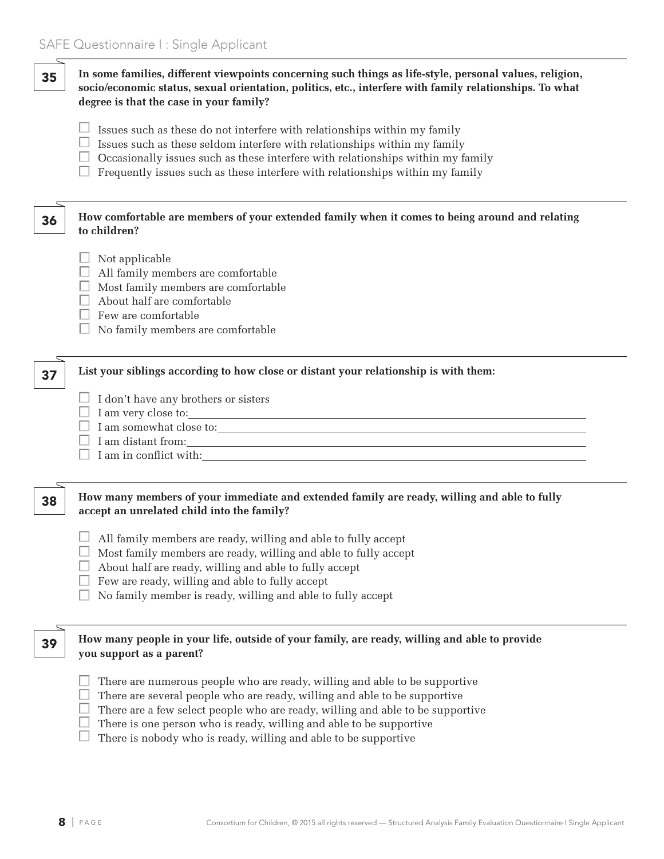| 35 | In some families, different viewpoints concerning such things as life-style, personal values, religion,<br>socio/economic status, sexual orientation, politics, etc., interfere with family relationships. To what<br>degree is that the case in your family?                                                                                                                                                                                                                                                   |  |  |  |
|----|-----------------------------------------------------------------------------------------------------------------------------------------------------------------------------------------------------------------------------------------------------------------------------------------------------------------------------------------------------------------------------------------------------------------------------------------------------------------------------------------------------------------|--|--|--|
|    | Issues such as these do not interfere with relationships within my family<br>Issues such as these seldom interfere with relationships within my family<br>Occasionally issues such as these interfere with relationships within my family<br>Frequently issues such as these interfere with relationships within my family                                                                                                                                                                                      |  |  |  |
| 36 | How comfortable are members of your extended family when it comes to being around and relating<br>to children?                                                                                                                                                                                                                                                                                                                                                                                                  |  |  |  |
|    | Not applicable<br>All family members are comfortable<br>Most family members are comfortable<br>About half are comfortable<br>Few are comfortable<br>No family members are comfortable                                                                                                                                                                                                                                                                                                                           |  |  |  |
| 37 | List your siblings according to how close or distant your relationship is with them:<br>$\Box$ I don't have any brothers or sisters<br>$I \; am \; somewhat \; close \; to: \; \label{eq:1}$                                                                                                                                                                                                                                                                                                                    |  |  |  |
| 38 | How many members of your immediate and extended family are ready, willing and able to fully<br>accept an unrelated child into the family?<br>All family members are ready, willing and able to fully accept<br>Most family members are ready, willing and able to fully accept<br>About half are ready, willing and able to fully accept<br>Few are ready, willing and able to fully accept<br>No family member is ready, willing and able to fully accept                                                      |  |  |  |
| 39 | How many people in your life, outside of your family, are ready, willing and able to provide<br>you support as a parent?<br>There are numerous people who are ready, willing and able to be supportive<br>There are several people who are ready, willing and able to be supportive<br>There are a few select people who are ready, willing and able to be supportive<br>There is one person who is ready, willing and able to be supportive<br>There is nobody who is ready, willing and able to be supportive |  |  |  |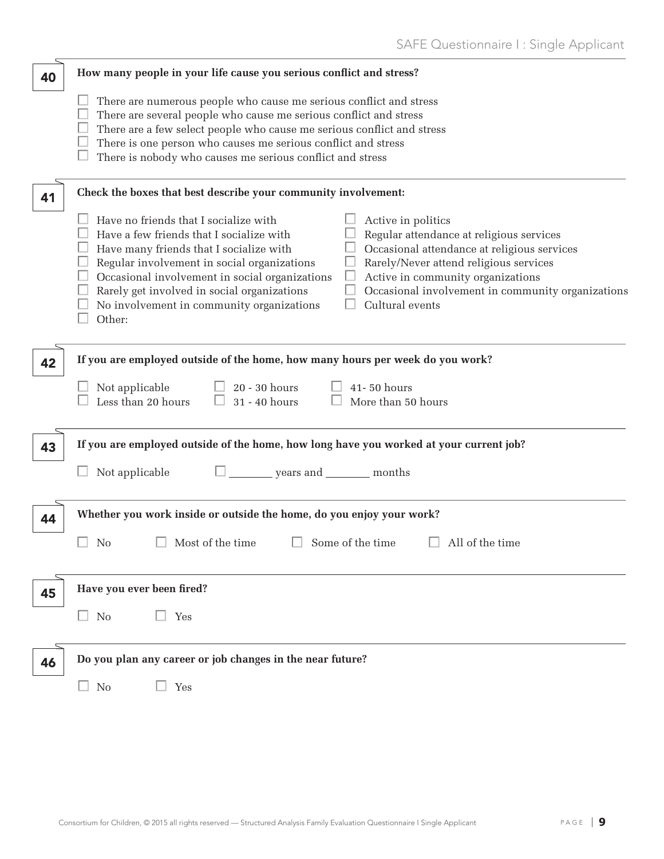| 40 | How many people in your life cause you serious conflict and stress?                                                                                                                                                                                                                                                                                                                                                                                                                                                                                                                                         |
|----|-------------------------------------------------------------------------------------------------------------------------------------------------------------------------------------------------------------------------------------------------------------------------------------------------------------------------------------------------------------------------------------------------------------------------------------------------------------------------------------------------------------------------------------------------------------------------------------------------------------|
|    | There are numerous people who cause me serious conflict and stress<br>There are several people who cause me serious conflict and stress<br>There are a few select people who cause me serious conflict and stress<br>There is one person who causes me serious conflict and stress<br>There is nobody who causes me serious conflict and stress                                                                                                                                                                                                                                                             |
| 41 | Check the boxes that best describe your community involvement:                                                                                                                                                                                                                                                                                                                                                                                                                                                                                                                                              |
|    | Have no friends that I socialize with<br>Active in politics<br>Regular attendance at religious services<br>Have a few friends that I socialize with<br>Occasional attendance at religious services<br>Have many friends that I socialize with<br>Rarely/Never attend religious services<br>Regular involvement in social organizations<br>Occasional involvement in social organizations<br>Active in community organizations<br>Rarely get involved in social organizations<br>Occasional involvement in community organizations<br>No involvement in community organizations<br>Cultural events<br>Other: |
| 42 | If you are employed outside of the home, how many hours per week do you work?<br>$\Box$ 20 - 30 hours<br>$\Box$ 41-50 hours<br>Not applicable<br>$\Box$<br>Less than 20 hours<br>31 - 40 hours<br>More than 50 hours                                                                                                                                                                                                                                                                                                                                                                                        |
| 43 | If you are employed outside of the home, how long have you worked at your current job?                                                                                                                                                                                                                                                                                                                                                                                                                                                                                                                      |
|    | $\Box$ years and ________ months<br>Not applicable                                                                                                                                                                                                                                                                                                                                                                                                                                                                                                                                                          |
| 44 | Whether you work inside or outside the home, do you enjoy your work?                                                                                                                                                                                                                                                                                                                                                                                                                                                                                                                                        |
|    | $\Box$ No $\Box$ Most of the time $\Box$ Some of the time $\Box$ All of the time                                                                                                                                                                                                                                                                                                                                                                                                                                                                                                                            |
| 45 | Have you ever been fired?                                                                                                                                                                                                                                                                                                                                                                                                                                                                                                                                                                                   |
|    | $\square$ No<br>$\Box$ Yes                                                                                                                                                                                                                                                                                                                                                                                                                                                                                                                                                                                  |
| 46 | Do you plan any career or job changes in the near future?                                                                                                                                                                                                                                                                                                                                                                                                                                                                                                                                                   |
|    | $\Box$ No<br>$\Box$ Yes                                                                                                                                                                                                                                                                                                                                                                                                                                                                                                                                                                                     |